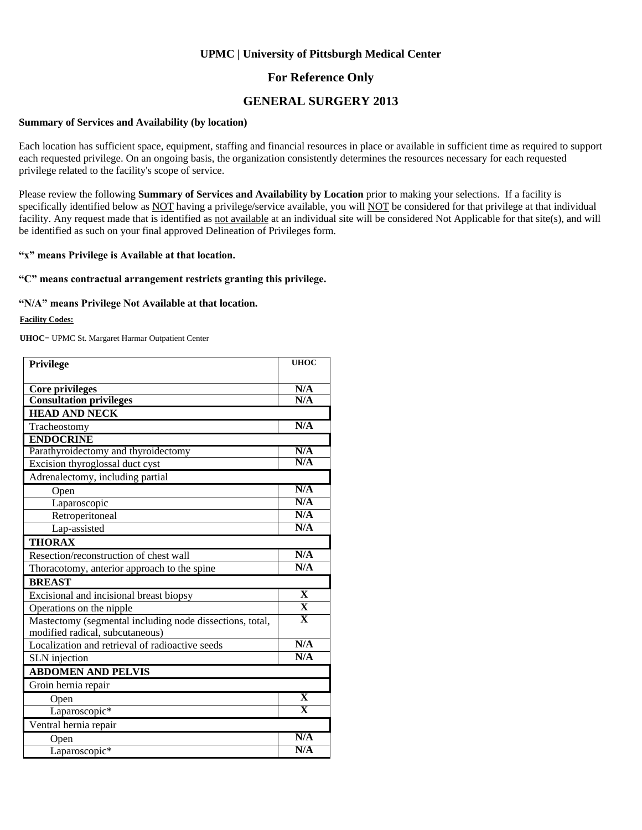### **For Reference Only**

### **GENERAL SURGERY 2013**

#### **Summary of Services and Availability (by location)**

Each location has sufficient space, equipment, staffing and financial resources in place or available in sufficient time as required to support each requested privilege. On an ongoing basis, the organization consistently determines the resources necessary for each requested privilege related to the facility's scope of service.

Please review the following **Summary of Services and Availability by Location** prior to making your selections. If a facility is specifically identified below as NOT having a privilege/service available, you will NOT be considered for that privilege at that individual facility. Any request made that is identified as not available at an individual site will be considered Not Applicable for that site(s), and will be identified as such on your final approved Delineation of Privileges form.

#### **"x" means Privilege is Available at that location.**

#### **"C" means contractual arrangement restricts granting this privilege.**

#### **"N/A" means Privilege Not Available at that location.**

#### **Facility Codes:**

**UHOC**= UPMC St. Margaret Harmar Outpatient Center

| <b>Privilege</b>                                         | <b>UHOC</b>             |
|----------------------------------------------------------|-------------------------|
|                                                          |                         |
| <b>Core privileges</b>                                   | N/A                     |
| <b>Consultation privileges</b>                           | N/A                     |
| <b>HEAD AND NECK</b>                                     |                         |
| Tracheostomy                                             | N/A                     |
| <b>ENDOCRINE</b>                                         |                         |
| Parathyroidectomy and thyroidectomy                      | N/A                     |
| Excision thyroglossal duct cyst                          | N/A                     |
| Adrenalectomy, including partial                         |                         |
| Open                                                     | N/A                     |
| Laparoscopic                                             | N/A                     |
| Retroperitoneal                                          | N/A                     |
| Lap-assisted                                             | N/A                     |
| <b>THORAX</b>                                            |                         |
| Resection/reconstruction of chest wall                   | N/A                     |
| Thoracotomy, anterior approach to the spine              | N/A                     |
| <b>BREAST</b>                                            |                         |
| Excisional and incisional breast biopsy                  | $\overline{\mathbf{X}}$ |
| Operations on the nipple                                 | $\overline{\mathbf{X}}$ |
| Mastectomy (segmental including node dissections, total, | $\overline{\mathbf{X}}$ |
| modified radical, subcutaneous)                          |                         |
| Localization and retrieval of radioactive seeds          | N/A                     |
| SLN injection                                            | N/A                     |
| <b>ABDOMEN AND PELVIS</b>                                |                         |
| Groin hernia repair                                      |                         |
| Open                                                     | $\overline{\mathbf{X}}$ |
| Laparoscopic*                                            | $\mathbf X$             |
| Ventral hernia repair                                    |                         |
| Open                                                     | N/A                     |
| Laparoscopic*                                            | N/A                     |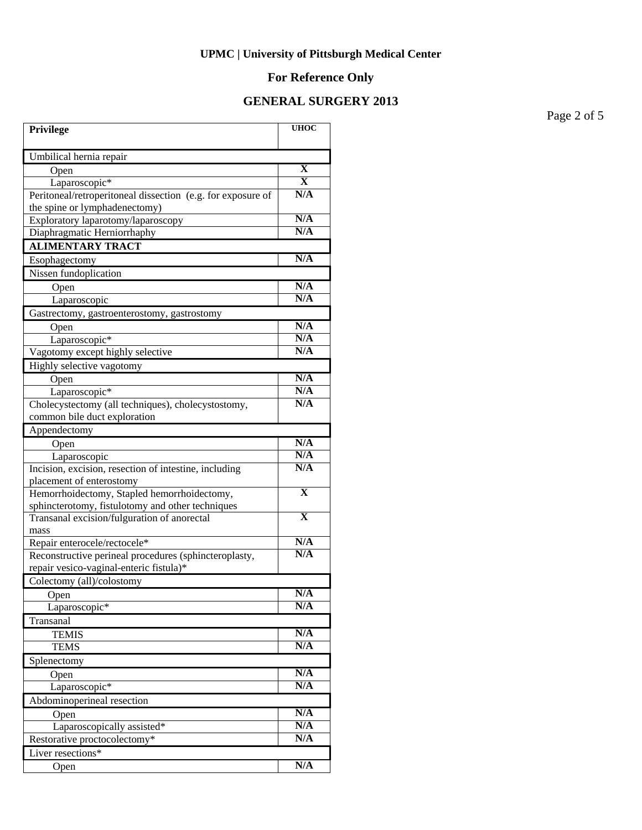### **For Reference Only**

### **GENERAL SURGERY 2013**

**Privilege UHOC** Umbilical hernia repair Open **X**<br>
Laparoscopic\* **X**  Laparoscopic\* **X** Peritoneal/retroperitoneal dissection (e.g. for exposure of the spine or lymphadenectomy) **N/A** Exploratory laparotomy/laparoscopy **N/A**<br>Diaphragmatic Herniorrhaphy **N/A Diaphragmatic Herniorrhaphy ALIMENTARY TRACT** Esophagectomy **N/A** Nissen fundoplication Open **N/A** Laparoscopic **N/A** Gastrectomy, gastroenterostomy, gastrostomy Open **N/A** Laparoscopic<sup>\*</sup> N/A<br>
otomy except highly selective N/A Vagotomy except highly selective Highly selective vagotomy Open **N/A**  Laparoscopic\* **N/A** Cholecystectomy (all techniques), cholecystostomy, common bile duct exploration **N/A** Appendectomy Open **N/A** Laparoscopic **N/A** Incision, excision, resection of intestine, including placement of enterostomy **N/A** Hemorrhoidectomy, Stapled hemorrhoidectomy, sphincterotomy, fistulotomy and other techniques **X** Transanal excision/fulguration of anorectal mass **X** Repair enterocele/rectocele\* **N/A** Reconstructive perineal procedures (sphincteroplasty, repair vesico-vaginal-enteric fistula)\* **N/A** Colectomy (all)/colostomy Open **N/A**  Laparoscopic\* **N/A** Transanal TEMIS N/A<br>TEMS N/A TEMS N/A Splenectomy Open **N/A**  Laparoscopic\* **N/A** Abdominoperineal resection Open **N/A**  Laparoscopically assisted\* **N/A** Restorative proctocolectomy\* **N/A** Liver resections\*

Open **N/A** 

Page 2 of 5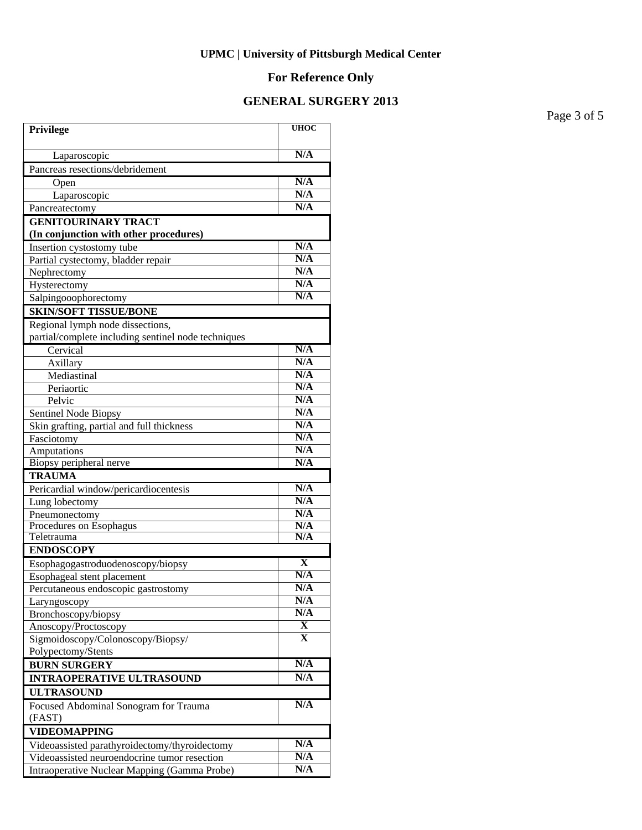# **For Reference Only**

## **GENERAL SURGERY 2013**

Page 3 of 5

| Privilege                                               | <b>UHOC</b> |
|---------------------------------------------------------|-------------|
| Laparoscopic                                            | N/A         |
| Pancreas resections/debridement                         |             |
| Open                                                    | N/A         |
| Laparoscopic                                            | N/A         |
| Pancreatectomy                                          | N/A         |
| <b>GENITOURINARY TRACT</b>                              |             |
| (In conjunction with other procedures)                  |             |
| Insertion cystostomy tube                               | N/A         |
| Partial cystectomy, bladder repair                      | N/A         |
| Nephrectomy                                             | N/A         |
| Hysterectomy                                            | N/A         |
| Salpingooophorectomy                                    | N/A         |
| <b>SKIN/SOFT TISSUE/BONE</b>                            |             |
| Regional lymph node dissections,                        |             |
| partial/complete including sentinel node techniques     |             |
| Cervical                                                | N/A         |
| Axillary                                                | N/A<br>N/A  |
| Mediastinal<br>Periaortic                               | N/A         |
| Pelvic                                                  | N/A         |
| Sentinel Node Biopsy                                    | N/A         |
| Skin grafting, partial and full thickness               | N/A         |
| Fasciotomy                                              | N/A         |
| Amputations                                             | N/A         |
| Biopsy peripheral nerve                                 | N/A         |
| <b>TRAUMA</b>                                           |             |
| Pericardial window/pericardiocentesis                   | N/A         |
| Lung lobectomy                                          | N/A         |
| Pneumonectomy                                           | N/A         |
| Procedures on Esophagus                                 | N/A         |
| Teletrauma                                              | N/A         |
| <b>ENDOSCOPY</b>                                        |             |
| Esophagogastroduodenoscopy/biopsy                       | $\mathbf X$ |
| Esophageal stent placement                              | N/A         |
| Percutaneous endoscopic gastrostomy                     | N/A         |
| Laryngoscopy                                            | N/A<br>N/A  |
| Bronchoscopy/biopsy                                     | X           |
| Anoscopy/Proctoscopy                                    | X           |
| Sigmoidoscopy/Colonoscopy/Biopsy/<br>Polypectomy/Stents |             |
| <b>BURN SURGERY</b>                                     | N/A         |
| <b>INTRAOPERATIVE ULTRASOUND</b>                        | N/A         |
| <b>ULTRASOUND</b>                                       |             |
| Focused Abdominal Sonogram for Trauma                   | N/A         |
| (FAST)                                                  |             |
| <b>VIDEOMAPPING</b>                                     |             |
| Videoassisted parathyroidectomy/thyroidectomy           | N/A         |
| Videoassisted neuroendocrine tumor resection            | N/A         |
| Intraoperative Nuclear Mapping (Gamma Probe)            | N/A         |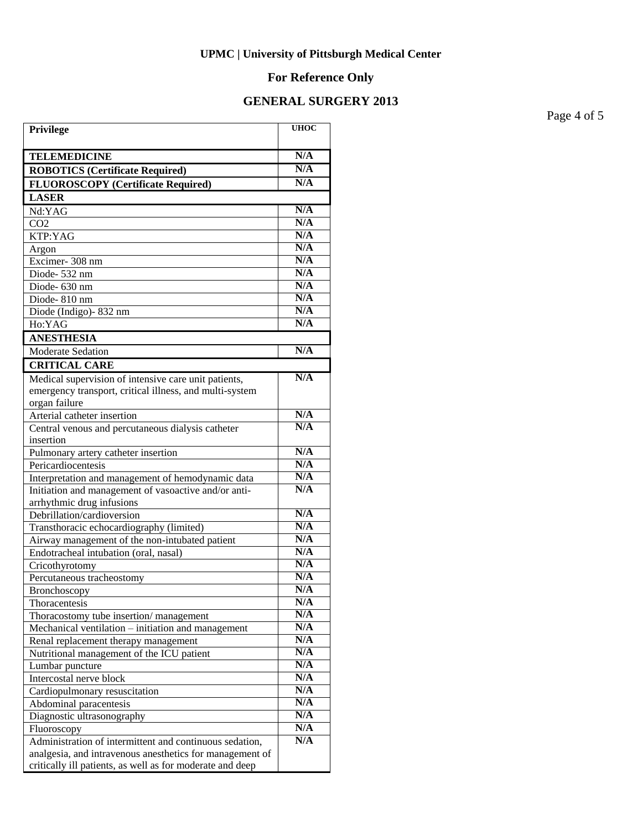# **For Reference Only**

## **GENERAL SURGERY 2013**

Page 4 of 5

| Privilege                                                 | <b>UHOC</b> |
|-----------------------------------------------------------|-------------|
| <b>TELEMEDICINE</b>                                       | N/A         |
| <b>ROBOTICS (Certificate Required)</b>                    | N/A         |
| <b>FLUOROSCOPY</b> (Certificate Required)                 | N/A         |
| <b>LASER</b>                                              |             |
| $Nd:YA\overline{G}$                                       | N/A         |
| CO <sub>2</sub>                                           | N/A         |
| KTP:YAG                                                   | N/A         |
| Argon                                                     | N/A         |
| Excimer-308 nm                                            | N/A         |
| Diode-532 nm                                              | N/A         |
| Diode- 630 nm                                             | N/A         |
| Diode-810 nm                                              | N/A         |
| Diode (Indigo)-832 nm                                     | N/A         |
| Ho:YAG                                                    | N/A         |
| <b>ANESTHESIA</b>                                         |             |
| Moderate Sedation                                         | N/A         |
| <b>CRITICAL CARE</b>                                      |             |
| Medical supervision of intensive care unit patients,      | N/A         |
| emergency transport, critical illness, and multi-system   |             |
| organ failure                                             |             |
| Arterial catheter insertion                               | N/A         |
| Central venous and percutaneous dialysis catheter         | N/A         |
| insertion                                                 |             |
| Pulmonary artery catheter insertion                       | N/A         |
| Pericardiocentesis                                        | N/A         |
| Interpretation and management of hemodynamic data         | N/A         |
| Initiation and management of vasoactive and/or anti-      | N/A         |
| arrhythmic drug infusions                                 |             |
| Debrillation/cardioversion                                | N/A<br>N/A  |
| Transthoracic echocardiography (limited)                  | N/A         |
| Airway management of the non-intubated patient            | N/A         |
| Endotracheal intubation (oral, nasal)                     | N/A         |
| Cricothyrotomy                                            | N/A         |
| Percutaneous tracheostomy                                 | N/A         |
| Bronchoscopy<br>Thoracentesis                             | N/A         |
| Thoracostomy tube insertion/management                    | N/A         |
| Mechanical ventilation - initiation and management        | N/A         |
| Renal replacement therapy management                      | N/A         |
| Nutritional management of the ICU patient                 | N/A         |
| Lumbar puncture                                           | N/A         |
| Intercostal nerve block                                   | N/A         |
| Cardiopulmonary resuscitation                             | N/A         |
| Abdominal paracentesis                                    | N/A         |
| Diagnostic ultrasonography                                | N/A         |
| Fluoroscopy                                               | N/A         |
| Administration of intermittent and continuous sedation,   | N/A         |
| analgesia, and intravenous anesthetics for management of  |             |
| critically ill patients, as well as for moderate and deep |             |